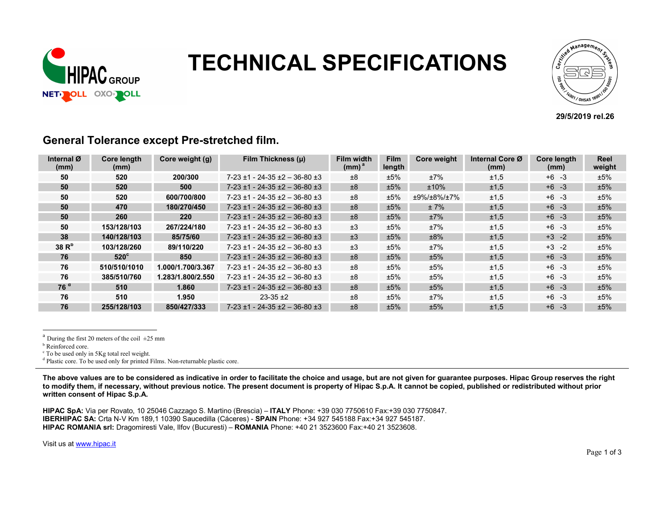

# **NUIDAR TECHNICAL SPECIFICATIONS**



#### 29/5/2019 rel.26

| Internal Ø<br>(mm) | <b>Core length</b><br>(mm) | Core weight (g)   | Film Thickness (µ)                       | Film width<br>(mm) <sup>a</sup> | <b>Film</b><br>length | Core weight | Internal Core Ø<br>(mm) | Core length<br>(mm) | Reel<br>weight |
|--------------------|----------------------------|-------------------|------------------------------------------|---------------------------------|-----------------------|-------------|-------------------------|---------------------|----------------|
| 50                 | 520                        | 200/300           | $7-23 \pm 1 - 24-35 \pm 2 - 36-80 \pm 3$ | ±8                              | ±5%                   | ±7%         | ±1,5                    | $+6 -3$             | ±5%            |
| 50                 | 520                        | 500               | $7-23 \pm 1 - 24-35 \pm 2 - 36-80 \pm 3$ | ±8                              | ±5%                   | $±10\%$     | ±1,5                    | $+6 - 3$            | ±5%            |
| 50                 | 520                        | 600/700/800       | $7-23 \pm 1 - 24-35 \pm 2 - 36-80 \pm 3$ | ±8                              | ±5%                   | ±9%/±8%/±7% | ±1,5                    | $+6 -3$             | ±5%            |
| 50                 | 470                        | 180/270/450       | $7-23 \pm 1 - 24-35 \pm 2 - 36-80 \pm 3$ | ±8                              | ±5%                   | ±7%         | ±1,5                    | $+6 - 3$            | ±5%            |
| 50                 | 260                        | <b>220</b>        | $7-23 \pm 1 - 24-35 \pm 2 - 36-80 \pm 3$ | ±8                              | ±5%                   | ±7%         | ±1,5                    | $+6 - 3$            | ±5%            |
| 50                 | 153/128/103                | 267/224/180       | $7-23 \pm 1 - 24-35 \pm 2 - 36-80 \pm 3$ | ±3                              | ±5%                   | ±7%         | ±1,5                    | $+6 - 3$            | ±5%            |
| 38                 | 140/128/103                | 85/75/60          | $7-23 \pm 1 - 24-35 \pm 2 - 36-80 \pm 3$ | ±3                              | ±5%                   | ±8%         | ±1,5                    | $+3 -2$             | ±5%            |
| 38 R <sup>b</sup>  | 103/128/260                | 89/110/220        | $7-23 \pm 1 - 24-35 \pm 2 - 36-80 \pm 3$ | ±3                              | ±5%                   | ±7%         | ±1,5                    | $+3 -2$             | ±5%            |
| 76                 | $520^{\circ}$              | 850               | $7-23 \pm 1 - 24-35 \pm 2 - 36-80 \pm 3$ | ±8                              | ±5%                   | ±5%         | ±1,5                    | $+6 -3$             | ±5%            |
| 76                 | 510/510/1010               | 1.000/1.700/3.367 | $7-23 \pm 1 - 24-35 \pm 2 - 36-80 \pm 3$ | ±8                              | ±5%                   | ±5%         | ±1,5                    | $+6 -3$             | ±5%            |
| 76                 | 385/510/760                | 1.283/1.800/2.550 | $7-23 \pm 1 - 24-35 \pm 2 - 36-80 \pm 3$ | ±8                              | ±5%                   | ±5%         | ±1,5                    | $+6 -3$             | ±5%            |
| 76 <sup>d</sup>    | 510                        | 1.860             | $7-23 \pm 1 - 24-35 \pm 2 - 36-80 \pm 3$ | ±8                              | ±5%                   | ±5%         | ±1,5                    | $+6 - 3$            | ±5%            |
| 76                 | 510                        | 1.950             | $23-35+2$                                | ±8                              | ±5%                   | ±7%         | ±1,5                    | $+6 -3$             | ±5%            |
| 76                 | 255/128/103                | 850/427/333       | $7-23 \pm 1 - 24-35 \pm 2 - 36-80 \pm 3$ | ±8                              | ±5%                   | ±5%         | ±1,5                    | $+6 -3$             | ±5%            |

#### General Tolerance except Pre-stretched film.

<sup>a</sup> During the first 20 meters of the coil  $\pm 25$  mm

l

<sup>d</sup> Plastic core. To be used only for printed Films. Non-returnable plastic core.

The above values are to be considered as indicative in order to facilitate the choice and usage, but are not given for guarantee purposes. Hipac Group reserves the right to modify them, if necessary, without previous notice. The present document is property of Hipac S.p.A. It cannot be copied, published or redistributed without prior written consent of Hipac S.p.A.

HIPAC SpA: Via per Rovato, 10 25046 Cazzago S. Martino (Brescia) – ITALY Phone: +39 030 7750610 Fax:+39 030 7750847. IBERHIPAC SA: Crta N-V Km 189,1 10390 Saucedilla (Cáceres) - SPAIN Phone: +34 927 545188 Fax:+34 927 545187. HIPAC ROMANIA srl: Dragomiresti Vale, Ilfov (Bucuresti) – ROMANIA Phone: +40 21 3523600 Fax:+40 21 3523608.

Visit us at www.hipac.it

**b** Reinforced core.

c To be used only in 5Kg total reel weight.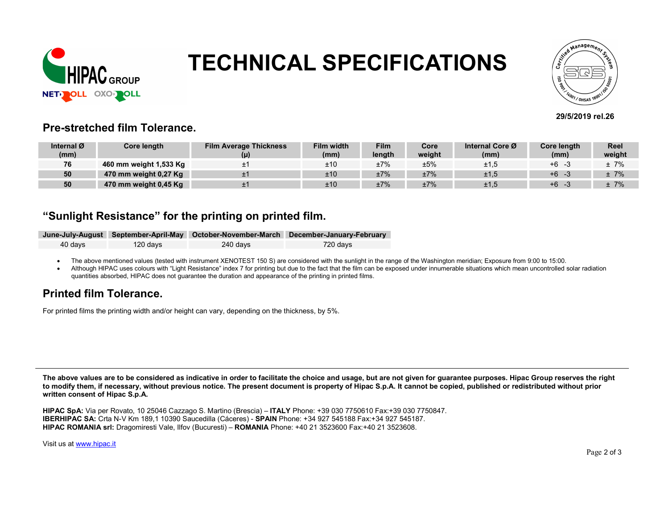

## TECHNICAL SPECIFICATIONS



#### 29/5/2019 rel.26

#### Pre-stretched film Tolerance.

| Internal Ø | Core length            | <b>Film Average Thickness</b> | <b>Film width</b> | <b>Film</b> | Core   | Internal Core Ø | Core length | <b>Reel</b> |
|------------|------------------------|-------------------------------|-------------------|-------------|--------|-----------------|-------------|-------------|
| (mm)       |                        |                               | (mm)              | length      | weight | (mm)            | (mm)        | weight      |
| 76         | 460 mm weight 1,533 Kg |                               | ±10               | ±7%         | ±5%    | ±1,5            | $+6$        | $±7\%$      |
| 50         | 470 mm weight 0,27 Kg  |                               | ±10               | ±7%         | ±7%    | ±1,5            | $+6$        | $±7\%$      |
| 50         | 470 mm weight 0,45 Kg  |                               | ±10               | ±7%         | ±7%    | ±1,5            | $+6$        | ± 7%        |

#### "Sunlight Resistance" for the printing on printed film.

|         |          |          | June-July-August September-April-May October-November-March December-January-February |
|---------|----------|----------|---------------------------------------------------------------------------------------|
| 40 davs | 120 days | 240 davs | 720 davs                                                                              |

• The above mentioned values (tested with instrument XENOTEST 150 S) are considered with the sunlight in the range of the Washington meridian; Exposure from 9:00 to 15:00.

Although HIPAC uses colours with "Light Resistance" index 7 for printing but due to the fact that the film can be exposed under innumerable situations which mean uncontrolled solar radiation quantities absorbed, HIPAC does not guarantee the duration and appearance of the printing in printed films.

### Printed film Tolerance.

For printed films the printing width and/or height can vary, depending on the thickness, by 5%.

The above values are to be considered as indicative in order to facilitate the choice and usage, but are not given for guarantee purposes. Hipac Group reserves the right to modify them, if necessary, without previous notice. The present document is property of Hipac S.p.A. It cannot be copied, published or redistributed without prior written consent of Hipac S.p.A.

HIPAC SpA: Via per Rovato, 10 25046 Cazzago S. Martino (Brescia) – ITALY Phone: +39 030 7750610 Fax:+39 030 7750847. IBERHIPAC SA: Crta N-V Km 189,1 10390 Saucedilla (Cáceres) - SPAIN Phone: +34 927 545188 Fax:+34 927 545187. HIPAC ROMANIA srl: Dragomiresti Vale, Ilfov (Bucuresti) – ROMANIA Phone: +40 21 3523600 Fax:+40 21 3523608.

Visit us at www.hipac.it